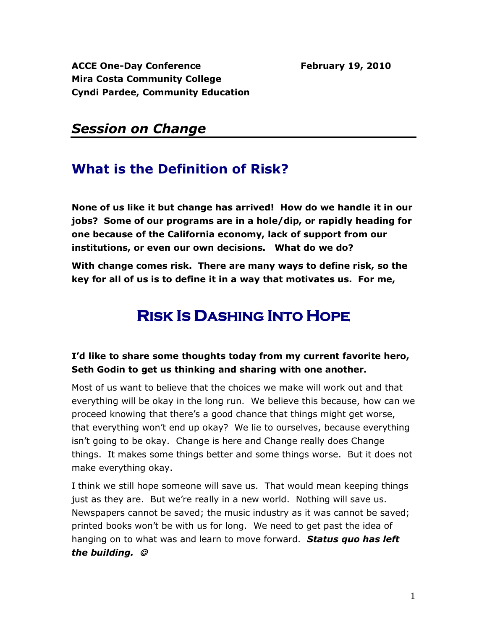ACCE One-Day Conference February 19, 2010 **Mira Costa Community College Cyndi Pardee, Community Education**

### *Session on Change*

### **What is the Definition of Risk?**

**None of us like it but change has arrived! How do we handle it in our jobs? Some of our programs are in a hole/dip, or rapidly heading for one because of the California economy, lack of support from our institutions, or even our own decisions. What do we do?**

**With change comes risk. There are many ways to define risk, so the key for all of us is to define it in a way that motivates us. For me,** 

# **RISK IS DASHING INTO HOPE**

#### **I'd like to share some thoughts today from my current favorite hero, Seth Godin to get us thinking and sharing with one another.**

Most of us want to believe that the choices we make will work out and that everything will be okay in the long run. We believe this because, how can we proceed knowing that there's a good chance that things might get worse, that everything won't end up okay? We lie to ourselves, because everything isn't going to be okay. Change is here and Change really does Change things. It makes some things better and some things worse. But it does not make everything okay.

I think we still hope someone will save us. That would mean keeping things just as they are. But we're really in a new world. Nothing will save us. Newspapers cannot be saved; the music industry as it was cannot be saved; printed books won't be with us for long. We need to get past the idea of hanging on to what was and learn to move forward. *Status quo has left the building.*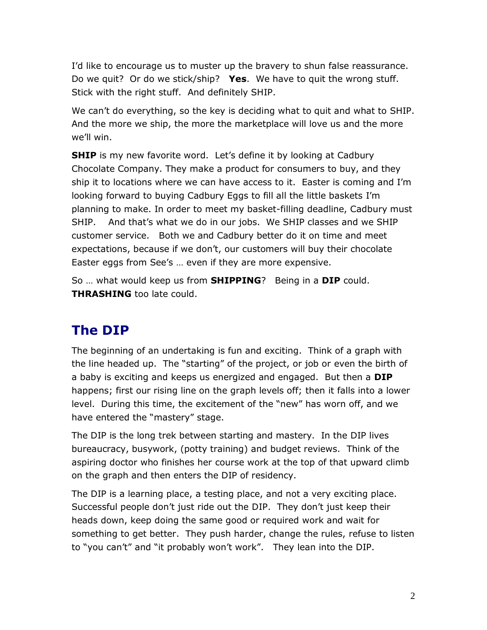I'd like to encourage us to muster up the bravery to shun false reassurance. Do we quit? Or do we stick/ship? **Yes**. We have to quit the wrong stuff. Stick with the right stuff. And definitely SHIP.

We can't do everything, so the key is deciding what to quit and what to SHIP. And the more we ship, the more the marketplace will love us and the more we'll win.

**SHIP** is my new favorite word. Let's define it by looking at Cadbury Chocolate Company. They make a product for consumers to buy, and they ship it to locations where we can have access to it. Easter is coming and I'm looking forward to buying Cadbury Eggs to fill all the little baskets I'm planning to make. In order to meet my basket-filling deadline, Cadbury must SHIP. And that's what we do in our jobs. We SHIP classes and we SHIP customer service. Both we and Cadbury better do it on time and meet expectations, because if we don't, our customers will buy their chocolate Easter eggs from See's … even if they are more expensive.

So … what would keep us from **SHIPPING**? Being in a **DIP** could. **THRASHING** too late could.

# **The DIP**

The beginning of an undertaking is fun and exciting. Think of a graph with the line headed up. The "starting" of the project, or job or even the birth of a baby is exciting and keeps us energized and engaged. But then a **DIP**  happens; first our rising line on the graph levels off; then it falls into a lower level. During this time, the excitement of the "new" has worn off, and we have entered the "mastery" stage.

The DIP is the long trek between starting and mastery. In the DIP lives bureaucracy, busywork, (potty training) and budget reviews. Think of the aspiring doctor who finishes her course work at the top of that upward climb on the graph and then enters the DIP of residency.

The DIP is a learning place, a testing place, and not a very exciting place. Successful people don't just ride out the DIP. They don't just keep their heads down, keep doing the same good or required work and wait for something to get better. They push harder, change the rules, refuse to listen to "you can't" and "it probably won't work". They lean into the DIP.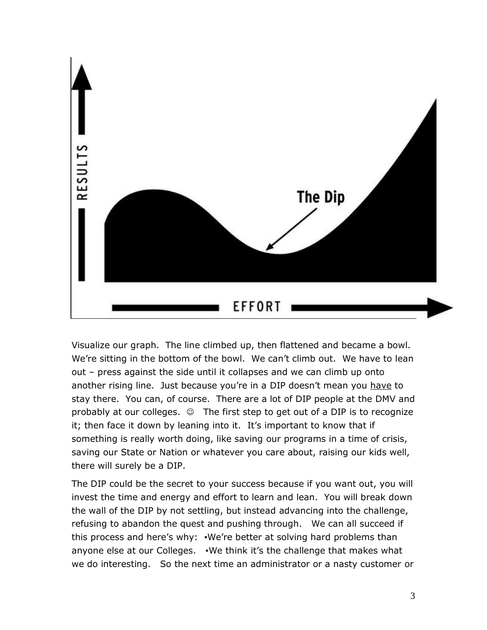

Visualize our graph. The line climbed up, then flattened and became a bowl. We're sitting in the bottom of the bowl. We can't climb out. We have to lean out – press against the side until it collapses and we can climb up onto another rising line. Just because you're in a DIP doesn't mean you have to stay there. You can, of course. There are a lot of DIP people at the DMV and probably at our colleges.  $\circledcirc$  The first step to get out of a DIP is to recognize it; then face it down by leaning into it. It's important to know that if something is really worth doing, like saving our programs in a time of crisis, saving our State or Nation or whatever you care about, raising our kids well, there will surely be a DIP.

The DIP could be the secret to your success because if you want out, you will invest the time and energy and effort to learn and lean. You will break down the wall of the DIP by not settling, but instead advancing into the challenge, refusing to abandon the quest and pushing through. We can all succeed if this process and here's why: •We're better at solving hard problems than anyone else at our Colleges. •We think it's the challenge that makes what we do interesting. So the next time an administrator or a nasty customer or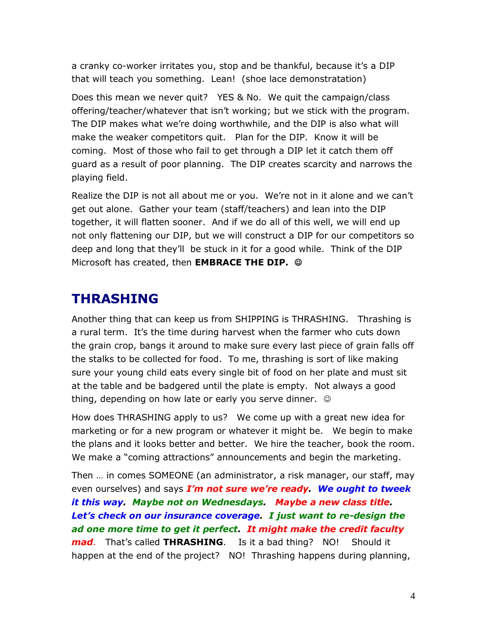a cranky co-worker irritates you, stop and be thankful, because it's a DIP that will teach you something. Lean! (shoe lace demonstratation)

Does this mean we never quit? YES & No. We quit the campaign/class offering/teacher/whatever that isn't working; but we stick with the program. The DIP makes what we're doing worthwhile, and the DIP is also what will make the weaker competitors quit. Plan for the DIP. Know it will be coming. Most of those who fail to get through a DIP let it catch them off guard as a result of poor planning. The DIP creates scarcity and narrows the playing field.

Realize the DIP is not all about me or you. We're not in it alone and we can't get out alone. Gather your team (staff/teachers) and lean into the DIP together, it will flatten sooner. And if we do all of this well, we will end up not only flattening our DIP, but we will construct a DIP for our competitors so deep and long that they'll be stuck in it for a good while. Think of the DIP Microsoft has created, then **EMBRACE THE DIP.** 

### **THRASHING**

Another thing that can keep us from SHIPPING is THRASHING. Thrashing is a rural term. It's the time during harvest when the farmer who cuts down the grain crop, bangs it around to make sure every last piece of grain falls off the stalks to be collected for food. To me, thrashing is sort of like making sure your young child eats every single bit of food on her plate and must sit at the table and be badgered until the plate is empty. Not always a good thing, depending on how late or early you serve dinner.

How does THRASHING apply to us? We come up with a great new idea for marketing or for a new program or whatever it might be. We begin to make the plans and it looks better and better. We hire the teacher, book the room. We make a "coming attractions" announcements and begin the marketing.

Then … in comes SOMEONE (an administrator, a risk manager, our staff, may even ourselves) and says *I'm not sure we're ready. We ought to tweek it this way. Maybe not on Wednesdays. Maybe a new class title. Let's check on our insurance coverage. I just want to re-design the ad one more time to get it perfect. It might make the credit faculty mad*. That's called **THRASHING**. Is it a bad thing? NO! Should it happen at the end of the project? NO! Thrashing happens during planning,